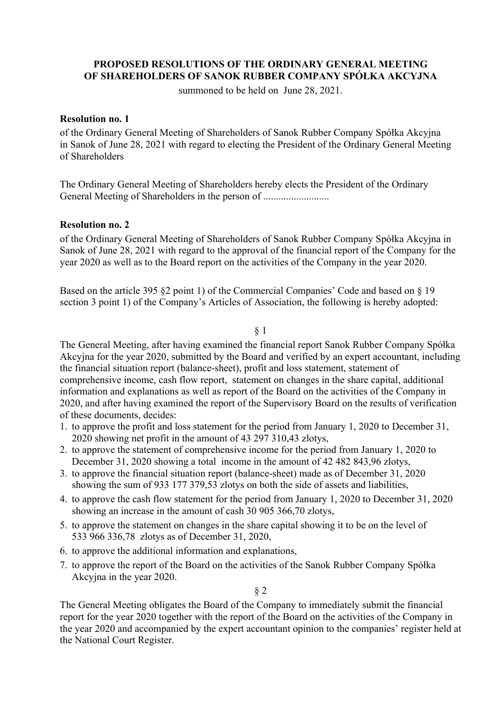# **PROPOSED RESOLUTIONS OF THE ORDINARY GENERAL MEETING OF SHAREHOLDERS OF SANOK RUBBER COMPANY SPÓŁKA AKCYJNA**

summoned to be held on June 28, 2021.

### **Resolution no. 1**

of the Ordinary General Meeting of Shareholders of Sanok Rubber Company Spółka Akcyjna in Sanok of June 28, 2021 with regard to electing the President of the Ordinary General Meeting of Shareholders

The Ordinary General Meeting of Shareholders hereby elects the President of the Ordinary General Meeting of Shareholders in the person of ................................

### **Resolution no. 2**

of the Ordinary General Meeting of Shareholders of Sanok Rubber Company Spółka Akcyjna in Sanok of June 28, 2021 with regard to the approval of the financial report of the Company for the year 2020 as well as to the Board report on the activities of the Company in the year 2020.

Based on the article 395 §2 point 1) of the Commercial Companies' Code and based on § 19 section 3 point 1) of the Company's Articles of Association, the following is hereby adopted:

#### § 1

The General Meeting, after having examined the financial report Sanok Rubber Company Spółka Akcyjna for the year 2020, submitted by the Board and verified by an expert accountant, including the financial situation report (balance-sheet), profit and loss statement, statement of comprehensive income, cash flow report, statement on changes in the share capital, additional information and explanations as well as report of the Board on the activities of the Company in 2020, and after having examined the report of the Supervisory Board on the results of verification of these documents, decides:

- 1. to approve the profit and loss statement for the period from January 1, 2020 to December 31, 2020 showing net profit in the amount of 43 297 310,43 zlotys,
- 2. to approve the statement of comprehensive income for the period from January 1, 2020 to December 31, 2020 showing a total income in the amount of 42 482 843,96 zlotys,
- 3. to approve the financial situation report (balance-sheet) made as of December 31, 2020 showing the sum of 933 177 379,53 zlotys on both the side of assets and liabilities,
- 4. to approve the cash flow statement for the period from January 1, 2020 to December 31, 2020 showing an increase in the amount of cash 30 905 366,70 zlotys,
- 5. to approve the statement on changes in the share capital showing it to be on the level of 533 966 336,78 zlotys as of December 31, 2020,
- 6. to approve the additional information and explanations,
- 7. to approve the report of the Board on the activities of the Sanok Rubber Company Spółka Akcyjna in the year 2020.

§ 2

The General Meeting obligates the Board of the Company to immediately submit the financial report for the year 2020 together with the report of the Board on the activities of the Company in the year 2020 and accompanied by the expert accountant opinion to the companies' register held at the National Court Register.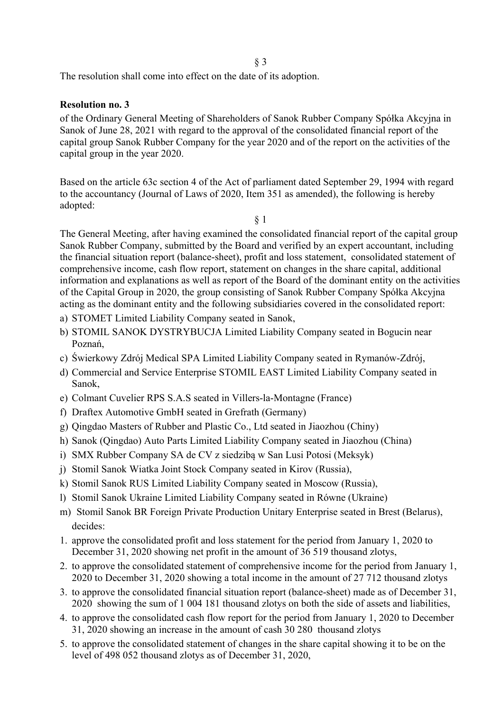The resolution shall come into effect on the date of its adoption.

### **Resolution no. 3**

of the Ordinary General Meeting of Shareholders of Sanok Rubber Company Spółka Akcyjna in Sanok of June 28, 2021 with regard to the approval of the consolidated financial report of the capital group Sanok Rubber Company for the year 2020 and of the report on the activities of the capital group in the year 2020.

Based on the article 63c section 4 of the Act of parliament dated September 29, 1994 with regard to the accountancy (Journal of Laws of 2020, Item 351 as amended), the following is hereby adopted:

§ 1

The General Meeting, after having examined the consolidated financial report of the capital group Sanok Rubber Company, submitted by the Board and verified by an expert accountant, including the financial situation report (balance-sheet), profit and loss statement, consolidated statement of comprehensive income, cash flow report, statement on changes in the share capital, additional information and explanations as well as report of the Board of the dominant entity on the activities of the Capital Group in 2020, the group consisting of Sanok Rubber Company Spółka Akcyjna acting as the dominant entity and the following subsidiaries covered in the consolidated report:

- a) STOMET Limited Liability Company seated in Sanok,
- b) STOMIL SANOK DYSTRYBUCJA Limited Liability Company seated in Bogucin near Poznań,
- c) Świerkowy Zdrój Medical SPA Limited Liability Company seated in Rymanów-Zdrój,
- d) Commercial and Service Enterprise STOMIL EAST Limited Liability Company seated in Sanok,
- e) Colmant Cuvelier RPS S.A.S seated in Villers-la-Montagne (France)
- f) Draftex Automotive GmbH seated in Grefrath (Germany)
- g) Qingdao Masters of Rubber and Plastic Co., Ltd seated in Jiaozhou (Chiny)
- h) Sanok (Qingdao) Auto Parts Limited Liability Company seated in Jiaozhou (China)
- i) SMX Rubber Company SA de CV z siedzibą w San Lusi Potosi (Meksyk)
- j) Stomil Sanok Wiatka Joint Stock Company seated in Kirov (Russia),
- k) Stomil Sanok RUS Limited Liability Company seated in Moscow (Russia),
- l) Stomil Sanok Ukraine Limited Liability Company seated in Równe (Ukraine)
- m) Stomil Sanok BR Foreign Private Production Unitary Enterprise seated in Brest (Belarus), decides:
- 1. approve the consolidated profit and loss statement for the period from January 1, 2020 to December 31, 2020 showing net profit in the amount of 36 519 thousand zlotys,
- 2. to approve the consolidated statement of comprehensive income for the period from January 1, 2020 to December 31, 2020 showing a total income in the amount of 27 712 thousand zlotys
- 3. to approve the consolidated financial situation report (balance-sheet) made as of December 31, 2020 showing the sum of 1 004 181 thousand zlotys on both the side of assets and liabilities,
- 4. to approve the consolidated cash flow report for the period from January 1, 2020 to December 31, 2020 showing an increase in the amount of cash 30 280 thousand zlotys
- 5. to approve the consolidated statement of changes in the share capital showing it to be on the level of 498 052 thousand zlotys as of December 31, 2020,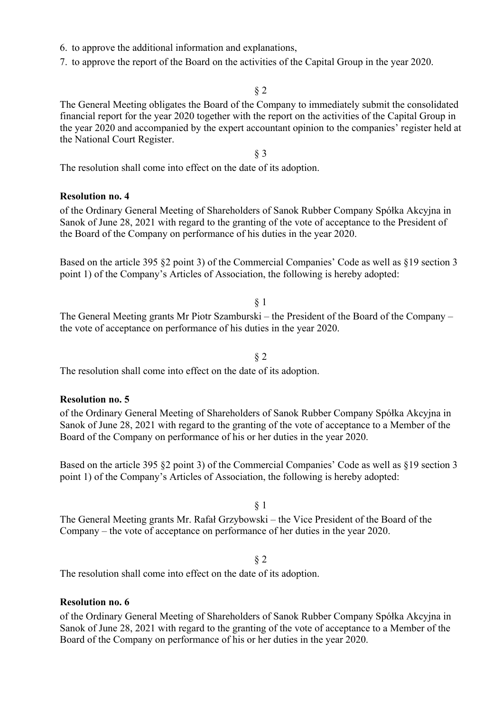- 6. to approve the additional information and explanations,
- 7. to approve the report of the Board on the activities of the Capital Group in the year 2020.

The General Meeting obligates the Board of the Company to immediately submit the consolidated financial report for the year 2020 together with the report on the activities of the Capital Group in the year 2020 and accompanied by the expert accountant opinion to the companies' register held at the National Court Register.

§ 3

The resolution shall come into effect on the date of its adoption.

## **Resolution no. 4**

of the Ordinary General Meeting of Shareholders of Sanok Rubber Company Spółka Akcyjna in Sanok of June 28, 2021 with regard to the granting of the vote of acceptance to the President of the Board of the Company on performance of his duties in the year 2020.

Based on the article 395 §2 point 3) of the Commercial Companies' Code as well as §19 section 3 point 1) of the Company's Articles of Association, the following is hereby adopted:

§ 1

The General Meeting grants Mr Piotr Szamburski – the President of the Board of the Company – the vote of acceptance on performance of his duties in the year 2020.

§ 2

The resolution shall come into effect on the date of its adoption.

### **Resolution no. 5**

of the Ordinary General Meeting of Shareholders of Sanok Rubber Company Spółka Akcyjna in Sanok of June 28, 2021 with regard to the granting of the vote of acceptance to a Member of the Board of the Company on performance of his or her duties in the year 2020.

Based on the article 395 §2 point 3) of the Commercial Companies' Code as well as §19 section 3 point 1) of the Company's Articles of Association, the following is hereby adopted:

§ 1

The General Meeting grants Mr. Rafał Grzybowski – the Vice President of the Board of the Company – the vote of acceptance on performance of her duties in the year 2020.

# § 2

The resolution shall come into effect on the date of its adoption.

### **Resolution no. 6**

of the Ordinary General Meeting of Shareholders of Sanok Rubber Company Spółka Akcyjna in Sanok of June 28, 2021 with regard to the granting of the vote of acceptance to a Member of the Board of the Company on performance of his or her duties in the year 2020.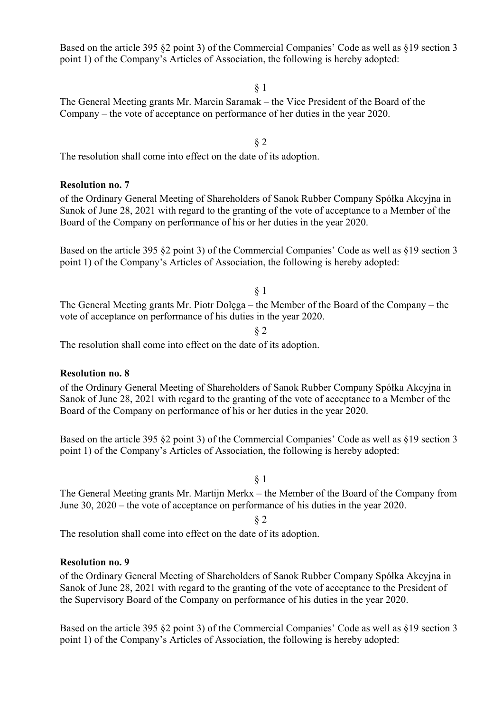Based on the article 395 §2 point 3) of the Commercial Companies' Code as well as §19 section 3 point 1) of the Company's Articles of Association, the following is hereby adopted:

§ 1

§ 2

The General Meeting grants Mr. Marcin Saramak – the Vice President of the Board of the Company – the vote of acceptance on performance of her duties in the year 2020.

The resolution shall come into effect on the date of its adoption.

### **Resolution no. 7**

of the Ordinary General Meeting of Shareholders of Sanok Rubber Company Spółka Akcyjna in Sanok of June 28, 2021 with regard to the granting of the vote of acceptance to a Member of the Board of the Company on performance of his or her duties in the year 2020.

Based on the article 395 §2 point 3) of the Commercial Companies' Code as well as §19 section 3 point 1) of the Company's Articles of Association, the following is hereby adopted:

§ 1

The General Meeting grants Mr. Piotr Dołęga – the Member of the Board of the Company – the vote of acceptance on performance of his duties in the year 2020.

§ 2

The resolution shall come into effect on the date of its adoption.

#### **Resolution no. 8**

of the Ordinary General Meeting of Shareholders of Sanok Rubber Company Spółka Akcyjna in Sanok of June 28, 2021 with regard to the granting of the vote of acceptance to a Member of the Board of the Company on performance of his or her duties in the year 2020.

Based on the article 395 §2 point 3) of the Commercial Companies' Code as well as §19 section 3 point 1) of the Company's Articles of Association, the following is hereby adopted:

# § 1

The General Meeting grants Mr. Martijn Merkx – the Member of the Board of the Company from June 30, 2020 – the vote of acceptance on performance of his duties in the year 2020.

#### § 2

The resolution shall come into effect on the date of its adoption.

### **Resolution no. 9**

of the Ordinary General Meeting of Shareholders of Sanok Rubber Company Spółka Akcyjna in Sanok of June 28, 2021 with regard to the granting of the vote of acceptance to the President of the Supervisory Board of the Company on performance of his duties in the year 2020.

Based on the article 395 §2 point 3) of the Commercial Companies' Code as well as §19 section 3 point 1) of the Company's Articles of Association, the following is hereby adopted: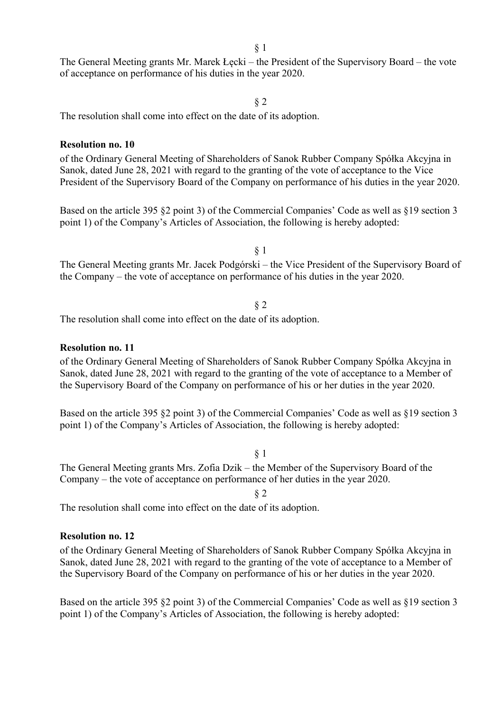The General Meeting grants Mr. Marek Łęcki – the President of the Supervisory Board – the vote of acceptance on performance of his duties in the year 2020.

§ 2

The resolution shall come into effect on the date of its adoption.

#### **Resolution no. 10**

of the Ordinary General Meeting of Shareholders of Sanok Rubber Company Spółka Akcyjna in Sanok, dated June 28, 2021 with regard to the granting of the vote of acceptance to the Vice President of the Supervisory Board of the Company on performance of his duties in the year 2020.

Based on the article 395 §2 point 3) of the Commercial Companies' Code as well as §19 section 3 point 1) of the Company's Articles of Association, the following is hereby adopted:

§ 1

The General Meeting grants Mr. Jacek Podgórski – the Vice President of the Supervisory Board of the Company – the vote of acceptance on performance of his duties in the year 2020.

§ 2

The resolution shall come into effect on the date of its adoption.

### **Resolution no. 11**

of the Ordinary General Meeting of Shareholders of Sanok Rubber Company Spółka Akcyjna in Sanok, dated June 28, 2021 with regard to the granting of the vote of acceptance to a Member of the Supervisory Board of the Company on performance of his or her duties in the year 2020.

Based on the article 395 §2 point 3) of the Commercial Companies' Code as well as §19 section 3 point 1) of the Company's Articles of Association, the following is hereby adopted:

§ 1

The General Meeting grants Mrs. Zofia Dzik – the Member of the Supervisory Board of the Company – the vote of acceptance on performance of her duties in the year 2020.

§ 2

The resolution shall come into effect on the date of its adoption.

### **Resolution no. 12**

of the Ordinary General Meeting of Shareholders of Sanok Rubber Company Spółka Akcyjna in Sanok, dated June 28, 2021 with regard to the granting of the vote of acceptance to a Member of the Supervisory Board of the Company on performance of his or her duties in the year 2020.

Based on the article 395 §2 point 3) of the Commercial Companies' Code as well as §19 section 3 point 1) of the Company's Articles of Association, the following is hereby adopted: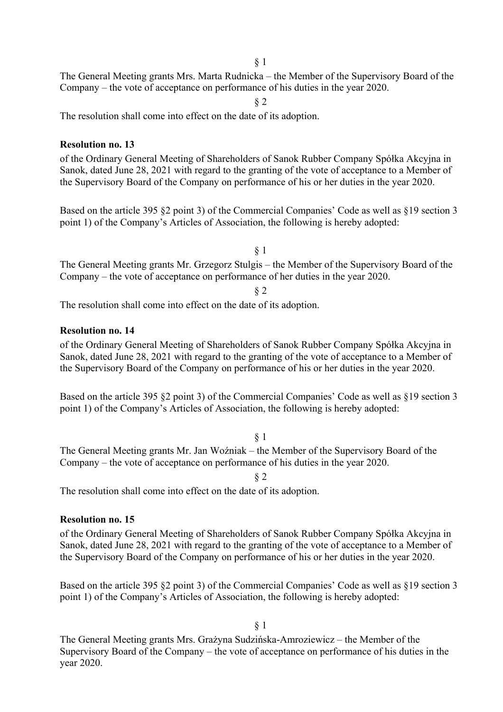The General Meeting grants Mrs. Marta Rudnicka – the Member of the Supervisory Board of the Company – the vote of acceptance on performance of his duties in the year 2020.

§ 2

The resolution shall come into effect on the date of its adoption.

### **Resolution no. 13**

of the Ordinary General Meeting of Shareholders of Sanok Rubber Company Spółka Akcyjna in Sanok, dated June 28, 2021 with regard to the granting of the vote of acceptance to a Member of the Supervisory Board of the Company on performance of his or her duties in the year 2020.

Based on the article 395 §2 point 3) of the Commercial Companies' Code as well as §19 section 3 point 1) of the Company's Articles of Association, the following is hereby adopted:

§ 1

The General Meeting grants Mr. Grzegorz Stulgis – the Member of the Supervisory Board of the Company – the vote of acceptance on performance of her duties in the year 2020.

§ 2

The resolution shall come into effect on the date of its adoption.

# **Resolution no. 14**

of the Ordinary General Meeting of Shareholders of Sanok Rubber Company Spółka Akcyjna in Sanok, dated June 28, 2021 with regard to the granting of the vote of acceptance to a Member of the Supervisory Board of the Company on performance of his or her duties in the year 2020.

Based on the article 395 §2 point 3) of the Commercial Companies' Code as well as §19 section 3 point 1) of the Company's Articles of Association, the following is hereby adopted:

### § 1

The General Meeting grants Mr. Jan Woźniak – the Member of the Supervisory Board of the Company – the vote of acceptance on performance of his duties in the year 2020.

§ 2

The resolution shall come into effect on the date of its adoption.

### **Resolution no. 15**

of the Ordinary General Meeting of Shareholders of Sanok Rubber Company Spółka Akcyjna in Sanok, dated June 28, 2021 with regard to the granting of the vote of acceptance to a Member of the Supervisory Board of the Company on performance of his or her duties in the year 2020.

Based on the article 395 §2 point 3) of the Commercial Companies' Code as well as §19 section 3 point 1) of the Company's Articles of Association, the following is hereby adopted:

§ 1

The General Meeting grants Mrs. Grażyna Sudzińska-Amroziewicz – the Member of the Supervisory Board of the Company – the vote of acceptance on performance of his duties in the year 2020.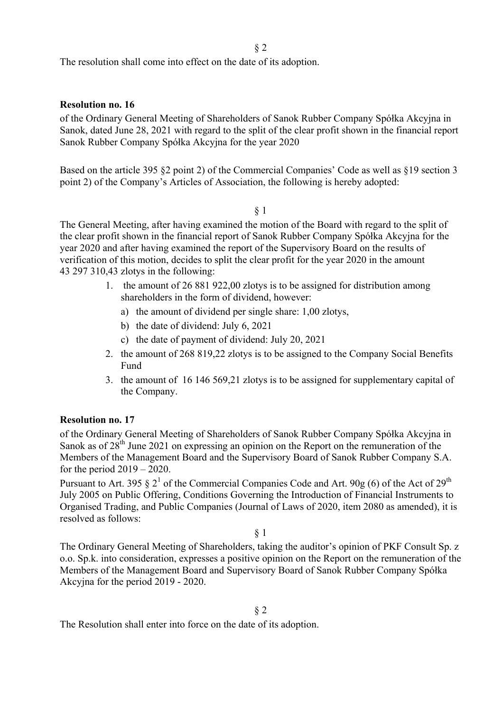The resolution shall come into effect on the date of its adoption.

### **Resolution no. 16**

of the Ordinary General Meeting of Shareholders of Sanok Rubber Company Spółka Akcyjna in Sanok, dated June 28, 2021 with regard to the split of the clear profit shown in the financial report Sanok Rubber Company Spółka Akcyjna for the year 2020

Based on the article 395 §2 point 2) of the Commercial Companies' Code as well as §19 section 3 point 2) of the Company's Articles of Association, the following is hereby adopted:

§ 1

The General Meeting, after having examined the motion of the Board with regard to the split of the clear profit shown in the financial report of Sanok Rubber Company Spółka Akcyjna for the year 2020 and after having examined the report of the Supervisory Board on the results of verification of this motion, decides to split the clear profit for the year 2020 in the amount 43 297 310,43 zlotys in the following:

- 1. the amount of 26 881 922,00 zlotys is to be assigned for distribution among shareholders in the form of dividend, however:
	- a) the amount of dividend per single share: 1,00 zlotys,
	- b) the date of dividend: July 6, 2021
	- c) the date of payment of dividend: July 20, 2021
- 2. the amount of 268 819,22 zlotys is to be assigned to the Company Social Benefits Fund
- 3. the amount of 16 146 569,21 zlotys is to be assigned for supplementary capital of the Company.

### **Resolution no. 17**

of the Ordinary General Meeting of Shareholders of Sanok Rubber Company Spółka Akcyjna in Sanok as of  $28<sup>th</sup>$  June 2021 on expressing an opinion on the Report on the remuneration of the Members of the Management Board and the Supervisory Board of Sanok Rubber Company S.A. for the period  $2019 - 2020$ .

Pursuant to Art. 395 § 2<sup>1</sup> of the Commercial Companies Code and Art. 90g (6) of the Act of 29<sup>th</sup> July 2005 on Public Offering, Conditions Governing the Introduction of Financial Instruments to Organised Trading, and Public Companies (Journal of Laws of 2020, item 2080 as amended), it is resolved as follows:

§ 1

The Ordinary General Meeting of Shareholders, taking the auditor's opinion of PKF Consult Sp. z o.o. Sp.k. into consideration, expresses a positive opinion on the Report on the remuneration of the Members of the Management Board and Supervisory Board of Sanok Rubber Company Spółka Akcyjna for the period 2019 - 2020.

The Resolution shall enter into force on the date of its adoption.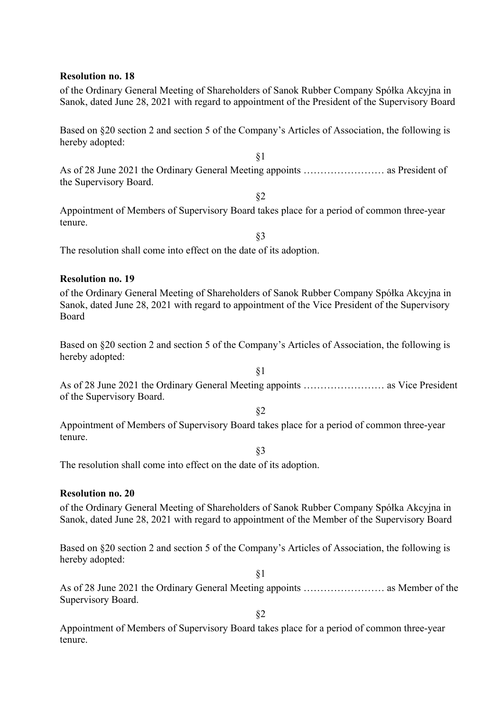### **Resolution no. 18**

of the Ordinary General Meeting of Shareholders of Sanok Rubber Company Spółka Akcyjna in Sanok, dated June 28, 2021 with regard to appointment of the President of the Supervisory Board

Based on §20 section 2 and section 5 of the Company's Articles of Association, the following is hereby adopted:

§1

§2

As of 28 June 2021 the Ordinary General Meeting appoints …………………… as President of the Supervisory Board.

Appointment of Members of Supervisory Board takes place for a period of common three-year tenure.

§3

The resolution shall come into effect on the date of its adoption.

### **Resolution no. 19**

of the Ordinary General Meeting of Shareholders of Sanok Rubber Company Spółka Akcyjna in Sanok, dated June 28, 2021 with regard to appointment of the Vice President of the Supervisory Board

Based on §20 section 2 and section 5 of the Company's Articles of Association, the following is hereby adopted:

As of 28 June 2021 the Ordinary General Meeting appoints …………………… as Vice President of the Supervisory Board.

§1

§2

Appointment of Members of Supervisory Board takes place for a period of common three-year tenure.

§3

The resolution shall come into effect on the date of its adoption.

#### **Resolution no. 20**

of the Ordinary General Meeting of Shareholders of Sanok Rubber Company Spółka Akcyjna in Sanok, dated June 28, 2021 with regard to appointment of the Member of the Supervisory Board

Based on §20 section 2 and section 5 of the Company's Articles of Association, the following is hereby adopted:

§1

As of 28 June 2021 the Ordinary General Meeting appoints …………………… as Member of the Supervisory Board.

§2

Appointment of Members of Supervisory Board takes place for a period of common three-year tenure.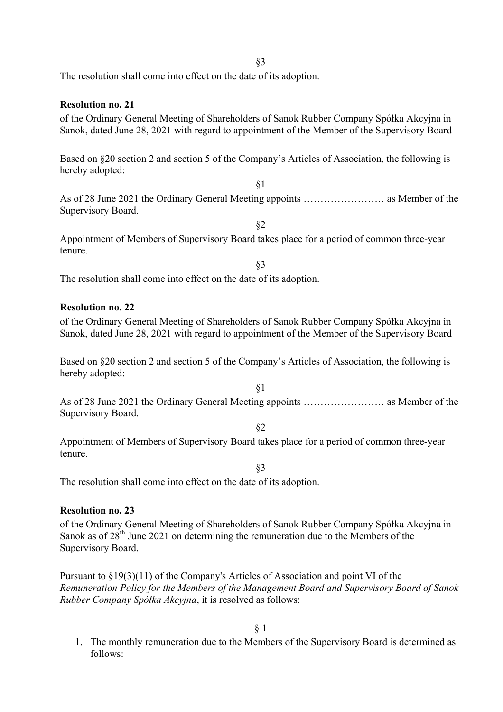The resolution shall come into effect on the date of its adoption.

As of 28 June 2021 the Ordinary General Meeting appoints …………………… as Member of the Supervisory Board.

§2

§3

Appointment of Members of Supervisory Board takes place for a period of common three-year tenure.

The resolution shall come into effect on the date of its adoption.

# **Resolution no. 23**

of the Ordinary General Meeting of Shareholders of Sanok Rubber Company Spółka Akcyjna in Sanok as of  $28<sup>th</sup>$  June 2021 on determining the remuneration due to the Members of the Supervisory Board.

Pursuant to §19(3)(11) of the Company's Articles of Association and point VI of the *Remuneration Policy for the Members of the Management Board and Supervisory Board of Sanok Rubber Company Spółka Akcyjna*, it is resolved as follows:

§ 1

1. The monthly remuneration due to the Members of the Supervisory Board is determined as follows: